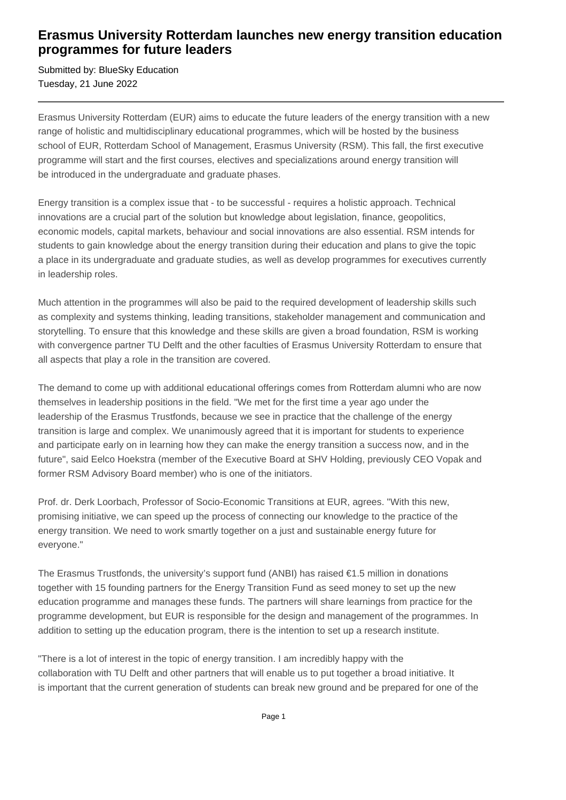## **Erasmus University Rotterdam launches new energy transition education programmes for future leaders**

Submitted by: BlueSky Education Tuesday, 21 June 2022

Erasmus University Rotterdam (EUR) aims to educate the future leaders of the energy transition with a new range of holistic and multidisciplinary educational programmes, which will be hosted by the business school of EUR, Rotterdam School of Management, Erasmus University (RSM). This fall, the first executive programme will start and the first courses, electives and specializations around energy transition will be introduced in the undergraduate and graduate phases.

Energy transition is a complex issue that - to be successful - requires a holistic approach. Technical innovations are a crucial part of the solution but knowledge about legislation, finance, geopolitics, economic models, capital markets, behaviour and social innovations are also essential. RSM intends for students to gain knowledge about the energy transition during their education and plans to give the topic a place in its undergraduate and graduate studies, as well as develop programmes for executives currently in leadership roles.

Much attention in the programmes will also be paid to the required development of leadership skills such as complexity and systems thinking, leading transitions, stakeholder management and communication and storytelling. To ensure that this knowledge and these skills are given a broad foundation, RSM is working with convergence partner TU Delft and the other faculties of Erasmus University Rotterdam to ensure that all aspects that play a role in the transition are covered.

The demand to come up with additional educational offerings comes from Rotterdam alumni who are now themselves in leadership positions in the field. "We met for the first time a year ago under the leadership of the Erasmus Trustfonds, because we see in practice that the challenge of the energy transition is large and complex. We unanimously agreed that it is important for students to experience and participate early on in learning how they can make the energy transition a success now, and in the future", said Eelco Hoekstra (member of the Executive Board at SHV Holding, previously CEO Vopak and former RSM Advisory Board member) who is one of the initiators.

Prof. dr. Derk Loorbach, Professor of Socio-Economic Transitions at EUR, agrees. "With this new, promising initiative, we can speed up the process of connecting our knowledge to the practice of the energy transition. We need to work smartly together on a just and sustainable energy future for everyone."

The Erasmus Trustfonds, the university's support fund (ANBI) has raised €1.5 million in donations together with 15 founding partners for the Energy Transition Fund as seed money to set up the new education programme and manages these funds. The partners will share learnings from practice for the programme development, but EUR is responsible for the design and management of the programmes. In addition to setting up the education program, there is the intention to set up a research institute.

"There is a lot of interest in the topic of energy transition. I am incredibly happy with the collaboration with TU Delft and other partners that will enable us to put together a broad initiative. It is important that the current generation of students can break new ground and be prepared for one of the